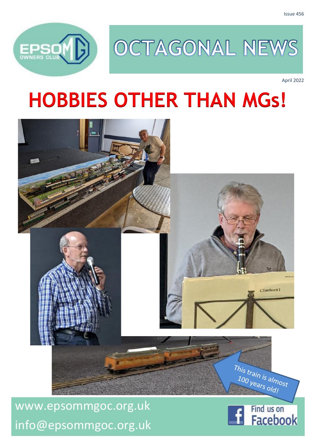## [www.epsommgoc.org.uk](http://www.epsommgoc.org.uk/) [info@epsommgoc.org.uk](mailto:info@epsommgoc.org.uk)





# **HOBBIES OTHER THAN MGs!**





Issue 456

April 2022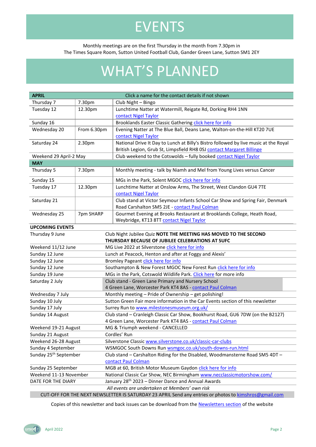### EVENTS

#### Monthly meetings are on the first Thursday in the month from 7.30pm in The Times Square Room, Sutton United Football Club, Gander Green Lane, Sutton SM1 2EY

## WHAT'S PLANNED

| Click a name for the contact details if not shown<br><b>APRIL</b> |         |                                                                                                                                               |  |  |  |
|-------------------------------------------------------------------|---------|-----------------------------------------------------------------------------------------------------------------------------------------------|--|--|--|
| Thursday 7                                                        | 7.30pm  | Club Night - Bingo                                                                                                                            |  |  |  |
| Tuesday 12<br>12.30pm                                             |         | Lunchtime Natter at Watermill, Reigate Rd, Dorking RH4 1NN                                                                                    |  |  |  |
|                                                                   |         | contact Nigel Taylor                                                                                                                          |  |  |  |
| Sunday 16                                                         |         | Brooklands Easter Classic Gathering click here for info                                                                                       |  |  |  |
| Wednesday 20<br>From 6.30pm                                       |         | Evening Natter at The Blue Ball, Deans Lane, Walton-on-the-Hill KT20 7UE                                                                      |  |  |  |
|                                                                   |         | contact Nigel Taylor                                                                                                                          |  |  |  |
| Saturday 24<br>2.30pm                                             |         | National Drive It Day to Lunch at Billy's Bistro followed by live music at the Royal                                                          |  |  |  |
|                                                                   |         | British Legion, Grub St, Limpsfield RH8 0SJ contact Margaret Billinge                                                                         |  |  |  |
| Weekend 29 April-2 May                                            |         | Club weekend to the Cotswolds - fully booked contact Nigel Taylor                                                                             |  |  |  |
| <b>MAY</b>                                                        |         |                                                                                                                                               |  |  |  |
| Thursday 5                                                        | 7.30pm  | Monthly meeting - talk by Niamh and Mel from Young Lives versus Cancer                                                                        |  |  |  |
| Sunday 15                                                         |         | MGs in the Park, Solent MGOC click here for info                                                                                              |  |  |  |
| Tuesday 17                                                        | 12.30pm | Lunchtime Natter at Onslow Arms, The Street, West Clandon GU4 7TE                                                                             |  |  |  |
|                                                                   |         | contact Nigel Taylor                                                                                                                          |  |  |  |
| Saturday 21                                                       |         | Club stand at Victor Seymour Infants School Car Show and Spring Fair, Denmark                                                                 |  |  |  |
|                                                                   |         | Road Carshalton SM5 2JE - contact Paul Colman                                                                                                 |  |  |  |
| Wednesday 25<br>7pm SHARP                                         |         | Gourmet Evening at Brooks Restaurant at Brooklands College, Heath Road,                                                                       |  |  |  |
|                                                                   |         | Weybridge, KT13 8TT contact Nigel Taylor                                                                                                      |  |  |  |
| <b>UPCOMING EVENTS</b>                                            |         |                                                                                                                                               |  |  |  |
| Thursday 9 June                                                   |         | Club Night Jubilee Quiz NOTE THE MEETING HAS MOVED TO THE SECOND                                                                              |  |  |  |
|                                                                   |         | THURSDAY BECAUSE OF JUBILEE CELEBRATIONS AT SUFC                                                                                              |  |  |  |
| Weekend 11/12 June                                                |         | MG Live 2022 at Silverstone click here for info                                                                                               |  |  |  |
| Sunday 12 June                                                    |         | Lunch at Peacock, Henton and after at Foggy and Alexis'                                                                                       |  |  |  |
| Sunday 12 June                                                    |         | Bromley Pageant click here for info                                                                                                           |  |  |  |
| Sunday 12 June                                                    |         | Southampton & New Forest MGOC New Forest Run click here for info                                                                              |  |  |  |
| Sunday 19 June                                                    |         | MGs in the Park, Cotswold Wildlife Park. Click here for more info                                                                             |  |  |  |
| Saturday 2 July                                                   |         | Club stand - Green Lane Primary and Nursery School                                                                                            |  |  |  |
|                                                                   |         | 4 Green Lane, Worcester Park KT4 8AS - contact Paul Colman                                                                                    |  |  |  |
| Wednesday 7 July                                                  |         | Monthly meeting - Pride of Ownership - get polishing!                                                                                         |  |  |  |
| Sunday 10 July                                                    |         | Sutton Green Fair more information in the Car Events section of this newsletter                                                               |  |  |  |
| Sunday 17 July                                                    |         | Surrey Run to www.milestonesmuseum.org.uk/                                                                                                    |  |  |  |
| Sunday 14 August                                                  |         | Club stand - Cranleigh Classic Car Show, Bookhurst Road, GU6 7DW (on the B2127)<br>4 Green Lane, Worcester Park KT4 8AS - contact Paul Colman |  |  |  |
|                                                                   |         |                                                                                                                                               |  |  |  |
| Weekend 19-21 August                                              |         | MG & Triumph weekend - CANCELLED<br>Cordles' Run                                                                                              |  |  |  |
| Sunday 21 August<br>Weekend 26-28 August                          |         | Silverstone Classic www.silverstone.co.uk/classic-car-clubs                                                                                   |  |  |  |
| Sunday 4 September                                                |         | WSMGOC South Downs Run wsmgoc.co.uk/south-downs-run.html                                                                                      |  |  |  |
| Sunday 25 <sup>th</sup> September                                 |         | Club stand - Carshalton Riding for the Disabled, Woodmansterne Road SM5 4DT -                                                                 |  |  |  |
|                                                                   |         | contact Paul Colman                                                                                                                           |  |  |  |
| Sunday 25 September                                               |         | MGB at 60, British Motor Museum Gaydon click here for info                                                                                    |  |  |  |
| Weekend 11-13 November                                            |         | National Classic Car Show, NEC Birmingham www.necclassicmotorshow.com/                                                                        |  |  |  |
| DATE FOR THE DIARY                                                |         | January 28 <sup>th</sup> 2023 – Dinner Dance and Annual Awards                                                                                |  |  |  |
| All events are undertaken at Members' own risk                    |         |                                                                                                                                               |  |  |  |
|                                                                   |         |                                                                                                                                               |  |  |  |

CUT-OFF FOR THE NEXT NEWSLETTER IS SATURDAY 23 APRIL Send any entries or photos to [kimshros@gmail.com](mailto:kimshros@gmail.com)

Copies of this newsletter and back issues can be download from the [Newsletters section](http://www.epsommgoc.org.uk/epsom-mgoc-newsletters/) of the website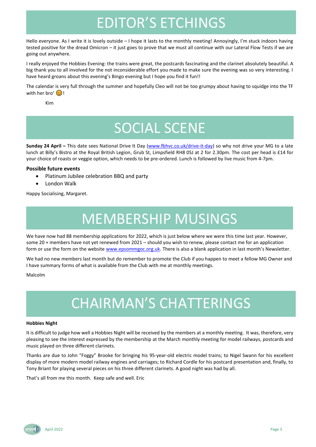### EDITOR'S ETCHINGS

Hello everyone. As I write it is lovely outside – I hope it lasts to the monthly meeting! Annoyingly, I'm stuck indoors having tested positive for the dread Omicron – it just goes to prove that we must all continue with our Lateral Flow Tests if we are going out anywhere.

I really enjoyed the Hobbies Evening: the trains were great, the postcards fascinating and the clarinet absolutely beautiful. A big thank you to all involved for the not inconsiderable effort you made to make sure the evening was so very interesting. I have heard groans about this evening's Bingo evening but I hope you find it fun!!

The calendar is very full through the summer and hopefully Cleo will not be too grumpy about having to squidge into the TF with her bro'  $\odot$ !

Kim

## SOCIAL SCENE

**Sunday 24 April –** This date sees National Drive It Day [\(www.fbhvc.co.uk/drive-it-day\)](http://www.fbhvc.co.uk/drive-it-day) so why not drive your MG to a late lunch at Billy's Bistro at the Royal British Legion, Grub St, Limpsfield RH8 0SJ at 2 for 2.30pm. The cost per head is £14 for your choice of roasts or veggie option, which needs to be pre-ordered. Lunch is followed by live music from 4-7pm.

#### **Possible future events**

- Platinum Jubilee celebration BBQ and party
- London Walk

Happy Socialising, Margaret.

## MEMBERSHIP MUSINGS

We have now had 88 membership applications for 2022, which is just below where we were this time last year. However, some 20 + members have not yet renewed from 2021 – should you wish to renew, please contact me for an application form or use the form on the website [www.epsommgoc.org.uk.](www.epsommgoc.org.uk) There is also a blank application in last month's Newsletter.

We had no new members last month but do remember to promote the Club if you happen to meet a fellow MG Owner and I have summary forms of what is available from the Club with me at monthly meetings.

#### Malcolm

## CHAIRMAN'S CHATTERINGS

#### **Hobbies Night**

It is difficult to judge how well a Hobbies Night will be received by the members at a monthly meeting. It was, therefore, very pleasing to see the interest expressed by the membership at the March monthly meeting for model railways, postcards and music played on three different clarinets.

Thanks are due to John "Foggy" Brooke for bringing his 95-year-old electric model trains; to Nigel Swann for his excellent display of more modern model railway engines and carriages; to Richard Cordle for his postcard presentation and, finally, to Tony Briant for playing several pieces on his three different clarinets. A good night was had by all.

That's all from me this month. Keep safe and well. Eric

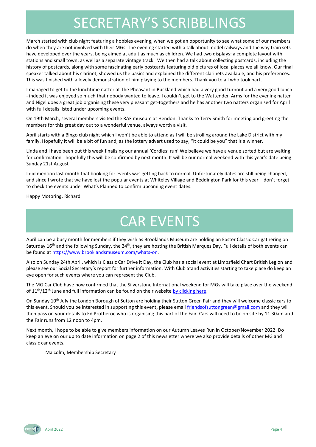### SECRETARY'S SCRIBBLINGS

March started with club night featuring a hobbies evening, when we got an opportunity to see what some of our members do when they are not involved with their MGs. The evening started with a talk about model railways and the way train sets have developed over the years, being aimed at adult as much as children. We had two displays: a complete layout with stations and small town, as well as a separate vintage track. We then had a talk about collecting postcards, including the history of postcards, along with some fascinating early postcards featuring old pictures of local places we all know. Our final speaker talked about his clarinet, showed us the basics and explained the different clarinets available, and his preferences. This was finished with a lovely demonstration of him playing to the members. Thank you to all who took part.

I managed to get to the lunchtime natter at The Pheasant in Buckland which had a very good turnout and a very good lunch - indeed it was enjoyed so much that nobody wanted to leave. I couldn't get to the Wattenden Arms for the evening natter and Nigel does a great job organising these very pleasant get-togethers and he has another two natters organised for April with full details listed under upcoming events.

On 19th March, several members visited the RAF museum at Hendon. Thanks to Terry Smith for meeting and greeting the members for this great day out to a wonderful venue, always worth a visit.

April starts with a Bingo club night which I won't be able to attend as I will be strolling around the Lake District with my family. Hopefully it will be a bit of fun and, as the lottery advert used to say, "It could be you" that is a winner.

Linda and I have been out this week finalising our annual 'Cordles' run' We believe we have a venue sorted but are waiting for confirmation - hopefully this will be confirmed by next month. It will be our normal weekend with this year's date being Sunday 21st August

I did mention last month that booking for events was getting back to normal. Unfortunately dates are still being changed, and since I wrote that we have lost the popular events at Whiteley Village and Beddington Park for this year – don't forget to check the events under What's Planned to confirm upcoming event dates.

Happy Motoring, Richard

## CAR EVENTS

April can be a busy month for members if they wish as Brooklands Museum are holding an Easter Classic Car gathering on Saturday 16<sup>th</sup> and the following Sunday, the 24<sup>th</sup>, they are hosting the British Marques Day. Full details of both events can be found at [https://www.brooklandsmuseum.com/whats-on.](https://www.brooklandsmuseum.com/whats-on)

Also on Sunday 24th April, which is Classic Car Drive it Day, the Club has a social event at Limpsfield Chart British Legion and please see our Social Secretary's report for further information. With Club Stand activities starting to take place do keep an eye open for such events where you can represent the Club.

The MG Car Club have now confirmed that the Silverstone International weekend for MGs will take place over the weekend of  $11<sup>th</sup>/12<sup>th</sup>$  June and full information can be found on their website [by clicking here.](https://mglive.show/)

On Sunday 10<sup>th</sup> July the London Borough of Sutton are holding their Sutton Green Fair and they will welcome classic cars to this event. Should you be interested in supporting this event, please emai[l friendsofsuttongreen@gmail.com](mailto:friendsofsuttongreen@gmail.com) and they will then pass on your details to Ed Protheroe who is organising this part of the Fair. Cars will need to be on site by 11.30am and the Fair runs from 12 noon to 4pm.

Next month, I hope to be able to give members information on our Autumn Leaves Run in October/November 2022. Do keep an eye on our up to date information on page 2 of this newsletter where we also provide details of other MG and classic car events.

Malcolm, Membership Secretary

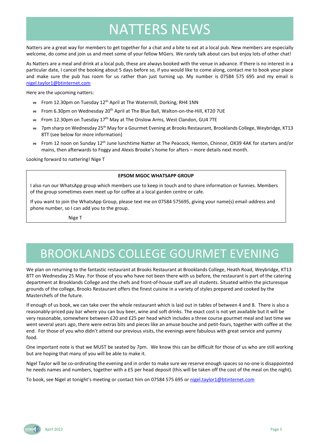### NATTERS NEWS

Natters are a great way for members to get together for a chat and a bite to eat at a local pub. New members are especially welcome, do come and join us and meet some of your fellow MGers. We rarely talk about cars but enjoy lots of other chat!

As Natters are a meal and drink at a local pub, these are always booked with the venue in advance. If there is no interest in a particular date, I cancel the booking about 5 days before so, if you would like to come along, contact me to book your place and make sure the pub has room for us rather than just turning up. My number is 07584 575 695 and my email is [nigel.taylor1@btinternet.com](mailto:nigel.taylor1@btinternet.com)

Here are the upcoming natters:

- $\epsilon$  From 12.30pm on Tuesday 12<sup>th</sup> April at The Watermill, Dorking, RH4 1NN
- From 6.30pm on Wednesday 20<sup>th</sup> April at The Blue Ball, Walton-on-the-Hill, KT20 7UE
- $\Rightarrow$  From 12.30pm on Tuesday 17<sup>th</sup> May at The Onslow Arms, West Clandon, GU4 7TE
- $\Rightarrow$  7pm sharp on Wednesday 25<sup>th</sup> May for a Gourmet Evening at Brooks Restaurant, Brooklands College, Weybridge, KT13 8TT (see below for more information)
- From 12 noon on Sunday 12<sup>th</sup> June lunchtime Natter at The Peacock, Henton, Chinnor, OX39 4AK for starters and/or mains, then afterwards to Foggy and Alexis Brooke's home for afters – more details next month.

Looking forward to nattering! Nige T

#### **EPSOM MGOC WHATSAPP GROUP**

I also run our WhatsApp group which members use to keep in touch and to share information or funnies. Members of the group sometimes even meet up for coffee at a local garden centre or cafe.

If you want to join the WhatsApp Group, please text me on 07584 575695, giving your name(s) email-address and phone number, so I can add you to the group.

Nige T

### BROOKLANDS COLLEGE GOURMET EVENING

We plan on returning to the fantastic restaurant at Brooks Restaurant at Brooklands College, Heath Road, Weybridge, KT13 8TT on Wednesday 25 May. For those of you who have not been there with us before, the restaurant is part of the catering department at Brooklands College and the chefs and front-of-house staff are all students. Situated within the picturesque grounds of the college, Brooks Restaurant offers the finest cuisine in a variety of styles prepared and cooked by the Masterchefs of the future.

If enough of us book, we can take over the whole restaurant which is laid out in tables of between 4 and 8. There is also a reasonably-priced pay bar where you can buy beer, wine and soft drinks. The exact cost is not yet available but it will be very reasonable, somewhere between £20 and £25 per head which includes a three course gourmet meal and last time we went several years ago, there were extras bits and pieces like an amuse bouche and petit-fours, together with coffee at the end. For those of you who didn't attend our previous visits, the evenings were fabulous with great service and yummy food.

One important note is that we MUST be seated by 7pm. We know this can be difficult for those of us who are still working but are hoping that many of you will be able to make it.

Nigel Taylor will be co-ordinating the evening and in order to make sure we reserve enough spaces so no-one is disappointed he needs names and numbers, together with a £5 per head deposit (this will be taken off the cost of the meal on the night).

To book, see Nigel at tonight's meeting or contact him on 07584 575 695 o[r nigel.taylor1@btinternet.com](mailto:nigel.taylor1@btinternet.com)

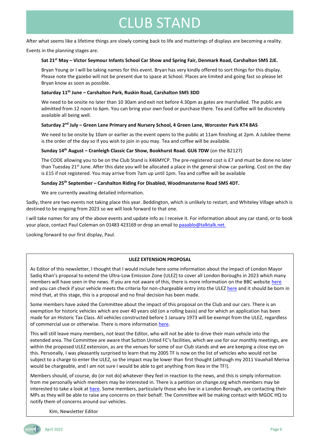### CLUB STAND

After what seems like a lifetime things are slowly coming back to life and mutterings of displays are becoming a reality.

Events in the planning stages are.

#### **Sat 21st May – Victor Seymour Infants School Car Show and Spring Fair, Denmark Road, Carshalton SM5 2JE.**

Bryan Young or I will be taking names for this event. Bryan has very kindly offered to sort things for this display. Please note the gazebo will not be present due to space at School. Places are limited and going fast so please let Bryan know as soon as possible.

#### **Saturday 11th June – Carshalton Park, Ruskin Road, Carshalton SM5 3DD**

We need to be onsite no later than 10 30am and exit not before 4.30pm as gates are marshalled. The public are admitted from 12 noon to 6pm. You can bring your own food or purchase there. Tea and Coffee will be discretely available all being well.

#### **Saturday 2nd July – Green Lane Primary and Nursery School, 4 Green Lane, Worcester Park KT4 8AS**

We need to be onsite by 10am or earlier as the event opens to the public at 11am finishing at 2pm. A Jubilee theme is the order of the day so if you wish to join in you may. Tea and coffee will be available.

#### **Sunday 14th August – Cranleigh Classic Car Show, Bookhurst Road. GU6 7DW** (on the B2127)

The CODE allowing you to be on the Club Stand is X46MYCP. The pre-registered cost is £7 and must be done no later than Tuesday 21 $st$  June. After this date you will be allocated a place in the general show car parking. Cost on the day is £15 if not registered. You may arrive from 7am up until 1pm. Tea and coffee will be available

#### **Sunday 25th September – Carshalton Riding For Disabled, Woodmansterne Road SM5 4DT.**

We are currently awaiting detailed information.

Sadly, there are two events not taking place this year. Beddington, which is unlikely to restart, and Whiteley Village which is destined to be ongoing from 2023 so we will look forward to that one.

I will take names for any of the above events and update info as I receive it. For information about any car stand, or to book your place, contact Paul Coleman on 01483 423169 or drop an email t[o paaablo@talktalk.net.](mailto:paaablo@talktalk.net)

Looking forward to our first display, Paul.

#### **ULEZ EXTENSION PROPOSAL**

As Editor of this newsletter, I thought that I would include here some information about the impact of London Mayor Sadiq Khan's proposal to extend the Ultra-Low Emission Zone (ULEZ) to cover all London Boroughs in 2023 which many members will have seen in the news. If you are not aware of this, there is more information on the BBC website [here](https://www.bbc.co.uk/news/uk-england-london-60608717) and you can check if your vehicle meets the criteria for non-chargeable entry into the ULEZ [here](https://tfl.gov.uk/modes/driving/check-your-vehicle/?intcmp=52335) and it should be born in mind that, at this stage, this is a proposal and no final decision has been made.

Some members have asked the Committee about the impact of this proposal on the Club and our cars. There is an exemption for historic vehicles which are over 40 years old (on a rolling basis) and for which an application has been made for an Historic Tax Class. All vehicles constructed before 1 January 1973 will be exempt from the ULEZ, regardless of commercial use or otherwise. There is more information [here.](https://tfl.gov.uk/modes/driving/ultra-low-emission-zone/discounts-and-exemptions#on-this-page-5)

This will still leave many members, not least the Editor, who will not be able to drive their main vehicle into the extended area. The Committee are aware that Sutton United FC's facilities, which we use for our monthly meetings, are within the proposed ULEZ extension, as are the venues for some of our Club stands and we are keeping a close eye on this. Personally, I was pleasantly surprised to learn that my 2005 TF is now on the list of vehicles who would not be subject to a charge to enter the ULEZ, so the impact may be lower than first thought (although my 2011 Vauxhall Meriva would be chargeable, and I am not sure I would be able to get anything from Ikea in the TF!).

Members should, of course, do (or not do) whatever they feel in reaction to the news, and this is simply information from me personally which members may be interested in. There is a petition on change.org which members may be interested to take a look at [here.](https://www.change.org/p/stop-sadiq-khan-expanding-the-ulez-to-all-the-london-borough-2023) Some members, particularly those who live in a London Borough, are contacting their MPs as they will be able to raise any concerns on their behalf. The Committee will be making contact with MGOC HQ to notify them of concerns around our vehicles.

Kim, Newsletter Editor

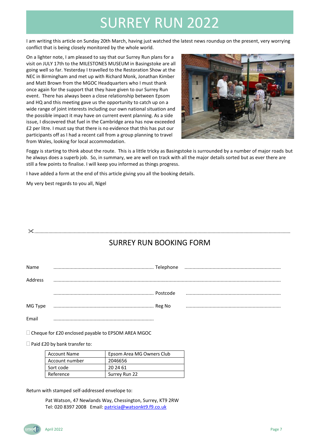### SURREY RUN 2022

I am writing this article on Sunday 20th March, having just watched the latest news roundup on the present, very worrying conflict that is being closely monitored by the whole world.

On a lighter note, I am pleased to say that our Surrey Run plans for a visit on JULY 17th to the MILESTONES MUSEUM in Basingstoke are all going well so far. Yesterday I travelled to the Restoration Show at the NEC in Birmingham and met up with Richard Monk, Jonathan Kimber and Matt Brown from the MGOC Headquarters who I must thank once again for the support that they have given to our Surrey Run event. There has always been a close relationship between Epsom and HQ and this meeting gave us the opportunity to catch up on a wide range of joint interests including our own national situation and the possible impact it may have on current event planning. As a side issue, I discovered that fuel in the Cambridge area has now exceeded £2 per litre. I must say that there is no evidence that this has put our participants off as I had a recent call from a group planning to travel from Wales, looking for local accommodation.



Foggy is starting to think about the route. This is a little tricky as Basingstoke is surrounded by a number of major roads but he always does a superb job. So, in summary, we are well on track with all the major details sorted but as ever there are still a few points to finalise. I will keep you informed as things progress.

I have added a form at the end of this article giving you all the booking details.

My very best regards to you all, Nigel

### .........................................................................................................................................................................................................

### SURREY RUN BOOKING FORM

| Name    |  |  |
|---------|--|--|
| Address |  |  |
|         |  |  |
| MG Type |  |  |
| Fmail   |  |  |

 $\square$  Cheque for £20 enclosed payable to EPSOM AREA MGOC

 $\square$  Paid £20 by bank transfer to:

| <b>Account Name</b> | Epsom Area MG Owners Club |
|---------------------|---------------------------|
| Account number      | 2046656                   |
| Sort code           | 20 24 61                  |
| Reference           | Surrey Run 22             |
|                     |                           |

Return with stamped self-addressed envelope to:

Pat Watson, 47 Newlands Way, Chessington, Surrey, KT9 2RW Tel: 020 8397 2008 Email: [patricia@watsonkt9.f9.co.uk](mailto:patricia@watsonkt9.f9.co.uk)

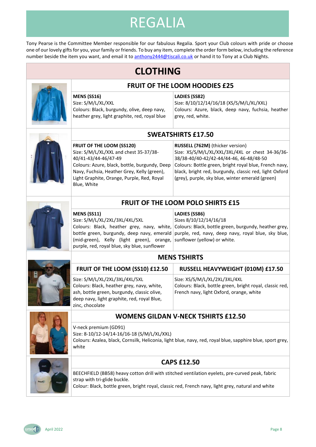### REGALIA

Tony Pearse is the Committee Member responsible for our fabulous Regalia. Sport your Club colours with pride or choose one of our lovely gifts for you, your family or friends. To buy any item, complete the order form below, including the reference number beside the item you want, and email it to anthony 2444@tiscali.co.uk or hand it to Tony at a Club Nights.

### **CLOTHING**



#### **MENS (SS16)**

Size: S/M/L/XL/XXL Colours: Black, burgundy, olive, deep navy, heather grey, light graphite, red, royal blue

#### **LADIES (SS82)**

Size: 8/10/12/14/16/18 (XS/S/M/L/XL/XXL) Colours: Azure, black, deep navy, fuchsia, heather grey, red, white.



#### **SWEATSHIRTS £17.50**

**FRUIT OF THE LOOM HOODIES £25**

**FRUIT OF THE LOOM (SS120)** Size: S/M/L/XL/XXL and chest 35-37/38- 40/41-43/44-46/47-49 Colours: Azure, black, bottle, burgundy, Deep Navy, Fuchsia, Heather Grey, Kelly (green), Light Graphite, Orange, Purple, Red, Royal Blue, White

**RUSSELL (762M)** (thicker version) Size: XS/S/M/L/XL/XXL/3XL/4XL or chest 34-36/36- 38/38-40/40-42/42-44/44-46, 46-48/48-50 Colours: Bottle green, bright royal blue, French navy, black, bright red, burgundy, classic red, light Oxford (grey), purple, sky blue, winter emerald (green)



#### **FRUIT OF THE LOOM POLO SHIRTS £15**

**MENS (SS11)** Size: S/M/L/XL/2XL/3XL/4XL/5XL Colours: Black, heather grey, navy, white, (mid-green), Kelly (light green), orange, sunflower (yellow) or white. purple, red, royal blue, sky blue, sunflower

#### **LADIES (SS86)**

Sizes 8/10/12/14/16/18

bottle green, burgundy, deep navy, emerald | purple, red, navy, deep navy, royal blue, sky blue, Colours: Black, bottle green, burgundy, heather grey,

#### **MENS TSHIRTS**

| FRUIT OF THE LOOM (SS10) £12.50                                                                                                                                                               | <b>RUSSELL HEAVYWEIGHT (010M) £17.50</b>                                                                                              |
|-----------------------------------------------------------------------------------------------------------------------------------------------------------------------------------------------|---------------------------------------------------------------------------------------------------------------------------------------|
| Size: S/M/L/XL/2XL/3XL/4XL/5XL<br>Colours: Black, heather grey, navy, white,<br>ash, bottle green, burgundy, classic olive,<br>deep navy, light graphite, red, royal Blue,<br>zinc, chocolate | Size: XS/S/M/L/XL/2XL/3XL/4XL<br>Colours: Black, bottle green, bright royal, classic red,<br>French navy, light Oxford, orange, white |
|                                                                                                                                                                                               |                                                                                                                                       |



### **WOMENS GILDAN V-NECK TSHIRTS £12.50**

V-neck premium (GD91) Size: 8-10/12-14/14-16/16-18 (S/M/L/XL/XXL) Colours: Azalea, black, Cornsilk, Heliconia, light blue, navy, red, royal blue, sapphire blue, sport grey, white

**CAPS £12.50**



#### BEECHFIELD (BB58) heavy cotton drill with stitched ventilation eyelets, pre-curved peak, fabric strap with tri-glide buckle.

Colour: Black, bottle green, bright royal, classic red, French navy, light grey, natural and white

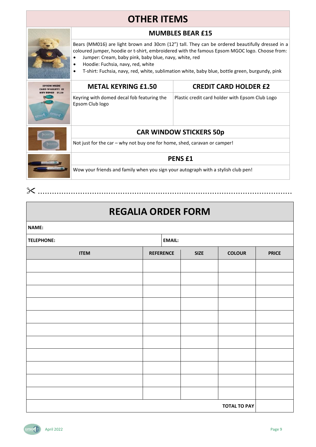### **OTHER ITEMS**

#### **MUMBLES BEAR £15**

Bears (MM016) are light brown and 30cm (12") tall. They can be ordered beautifully dressed in a coloured jumper, hoodie or t-shirt, embroidered with the famous Epsom MGOC logo. Choose from:

- Jumper: Cream, baby pink, baby blue, navy, white, red
- Hoodie: Fuchsia, navy, red, white
- T-shirt: Fuchsia, navy, red, white, sublimation white, baby blue, bottle green, burgundy, pink

| <b>METAL KEYRING £1.50</b>                                                        | <b>CREDIT CARD HOLDER £2</b>                    |  |  |  |
|-----------------------------------------------------------------------------------|-------------------------------------------------|--|--|--|
| Keyring with domed decal fob featuring the<br>Epsom Club logo                     | Plastic credit card holder with Epsom Club Logo |  |  |  |
| <b>CAR WINDOW STICKERS 50p</b>                                                    |                                                 |  |  |  |
| Not just for the car - why not buy one for home, shed, caravan or camper!         |                                                 |  |  |  |
| <b>PENS £1</b>                                                                    |                                                 |  |  |  |
| Wow your friends and family when you sign your autograph with a stylish club pen! |                                                 |  |  |  |

**REGALIA ORDER FORM**

............................................................................................................

| <b>NAME:</b>      |  |                  |               |                     |              |  |
|-------------------|--|------------------|---------------|---------------------|--------------|--|
| <b>TELEPHONE:</b> |  |                  | <b>EMAIL:</b> |                     |              |  |
| <b>ITEM</b>       |  | <b>REFERENCE</b> | <b>SIZE</b>   | <b>COLOUR</b>       | <b>PRICE</b> |  |
|                   |  |                  |               |                     |              |  |
|                   |  |                  |               |                     |              |  |
|                   |  |                  |               |                     |              |  |
|                   |  |                  |               |                     |              |  |
|                   |  |                  |               |                     |              |  |
|                   |  |                  |               |                     |              |  |
|                   |  |                  |               |                     |              |  |
|                   |  |                  |               |                     |              |  |
|                   |  |                  |               |                     |              |  |
|                   |  |                  |               |                     |              |  |
|                   |  |                  |               |                     |              |  |
|                   |  |                  |               | <b>TOTAL TO PAY</b> |              |  |

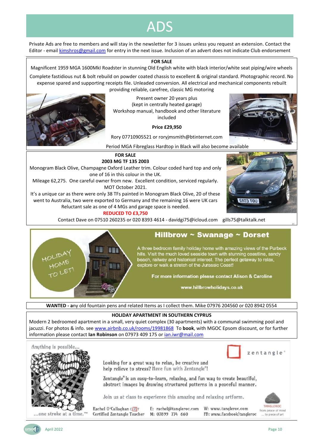### ADS

Private Ads are free to members and will stay in the newsletter for 3 issues unless you request an extension. Contact the Editor - email [kimshros@gmail.com](mailto:kimshros@gmail.com) for entry in the next issue. Inclusion of an advert does not indicate Club endorsement

#### **FOR SALE**

Magnificent 1959 MGA 1600MkI Roadster in stunning Old English white with black interior/white seat piping/wire wheels

Complete fastidious nut & bolt rebuild on powder coated chassis to excellent & original standard. Photographic record. No expense spared and supporting receipts file. Unleaded conversion. All electrical and mechanical components rebuilt providing reliable, carefree, classic MG motoring



Present owner 20 years plus (kept in centrally heated garage) Workshop manual, handbook and other literature included

**Price £29,950**

Rory 07710905521 or roryjmsmith@btinternet.com



Period MGA Fibreglass Hardtop in Black will also become available



 $3/3$ 

Contact Dave on 07510 260235 or 020 8393 4614 - davidgi75@icloud.com gills75@talktalk.net

**FOR SALE 2003 MG TF 135 2003** Monogram Black Olive, Champagne Oxford Leather trim. Colour coded hard top and only one of 16 in this colour in the UK. Mileage 62,275. One careful owner from new. Excellent condition, serviced regularly. MOT October 2021. It's a unique car as there were only 38 TFs painted in Monogram Black Olive, 20 of these went to Australia, two were exported to Germany and the remaining 16 were UK cars Reluctant sale as one of 4 MGs and garage space is needed. **REDUCED TO £3,750**



### Hillbrow  $\sim$  Swanage  $\sim$  Dorset

A three bedroom family holiday home with amazing views of the Purbeck hills. Visit the much loved seaside town with stunning coastline, sandy beach, railway and historical interest. The perfect getaway to relax,<br>explore or walk a stretch of the Jurassic Coast!

For more information please contact Alison & Caroline

www.hillbrowholidays.co.uk

**WANTED - a**ny old fountain pens and related Items as I collect them. Mike 07976 204560 or 020 8942 0554

#### **HOLIDAY APARTMENT IN SOUTHERN CYPRUS**

Modern 2 bedroomed apartment in a small, very quiet complex (30 apartments) with a communal swimming pool and jacuzzi. For photos & info. se[e www.airbnb.co.uk/rooms/19981868](http://www.airbnb.co.uk/rooms/19981868) To **book**, with MGOC Epsom discount, or for further information please contact **Ian Robinson** on 07973 409 175 o[r ian.iwr@mail.com](mailto:ian.iwr@mail.com)